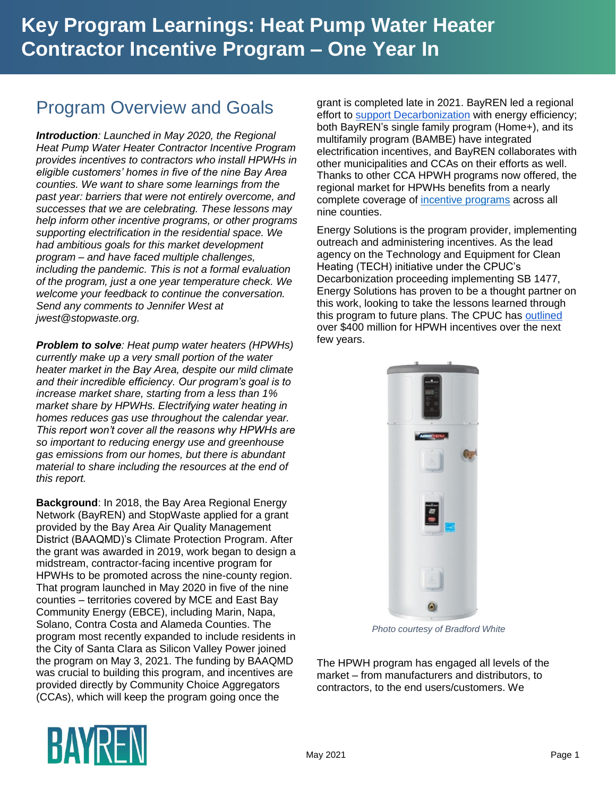## Program Overview and Goals

*Introduction: Launched in May 2020, the Regional Heat Pump Water Heater Contractor Incentive Program provides incentives to contractors who install HPWHs in eligible customers' homes in five of the nine Bay Area counties. We want to share some learnings from the past year: barriers that were not entirely overcome, and successes that we are celebrating. These lessons may help inform other incentive programs, or other programs supporting electrification in the residential space. We had ambitious goals for this market development program – and have faced multiple challenges, including the pandemic. This is not a formal evaluation of the program, just a one year temperature check. We welcome your feedback to continue the conversation. Send any comments to Jennifer West at jwest@stopwaste.org.*

*Problem to solve: Heat pump water heaters (HPWHs) currently make up a very small portion of the water heater market in the Bay Area, despite our mild climate and their incredible efficiency. Our program's goal is to increase market share, starting from a less than 1% market share by HPWHs. Electrifying water heating in homes reduces gas use throughout the calendar year. This report won't cover all the reasons why HPWHs are so important to reducing energy use and greenhouse gas emissions from our homes, but there is abundant material to share including the resources at the end of this report.*

**Background**: In 2018, the Bay Area Regional Energy Network (BayREN) and StopWaste applied for a grant provided by the Bay Area Air Quality Management District (BAAQMD)'s Climate Protection Program. After the grant was awarded in 2019, work began to design a midstream, contractor-facing incentive program for HPWHs to be promoted across the nine-county region. That program launched in May 2020 in five of the nine counties – territories covered by MCE and East Bay Community Energy (EBCE), including Marin, Napa, Solano, Contra Costa and Alameda Counties. The program most recently expanded to include residents in the City of Santa Clara as Silicon Valley Power joined the program on May 3, 2021. The funding by BAAQMD was crucial to building this program, and incentives are provided directly by Community Choice Aggregators (CCAs), which will keep the program going once the

grant is completed late in 2021. BayREN led a regional effort to [support Decarbonization](https://cbbf458e-67d0-4a11-9597-023b97b18cc4.filesusr.com/ugd/fbb014_3def7f13a13e490ba8488d86ac688470.pdf) with energy efficiency; both BayREN's single family program (Home+), and its multifamily program (BAMBE) have integrated electrification incentives, and BayREN collaborates with other municipalities and CCAs on their efforts as well. Thanks to other CCA HPWH programs now offered, the regional market for HPWHs benefits from a nearly complete coverage of [incentive programs](https://www.bayren.org/incentives) across all nine counties.

Energy Solutions is the program provider, implementing outreach and administering incentives. As the lead agency on the Technology and Equipment for Clean Heating (TECH) initiative under the CPUC's Decarbonization proceeding implementing SB 1477, Energy Solutions has proven to be a thought partner on this work, looking to take the lessons learned through this program to future plans. The CPUC has [outlined](https://www.cpuc.ca.gov/WorkArea/DownloadAsset.aspx?id=6442465700) over \$400 million for HPWH incentives over the next few years.



*Photo courtesy of Bradford White*

The HPWH program has engaged all levels of the market – from manufacturers and distributors, to contractors, to the end users/customers. We

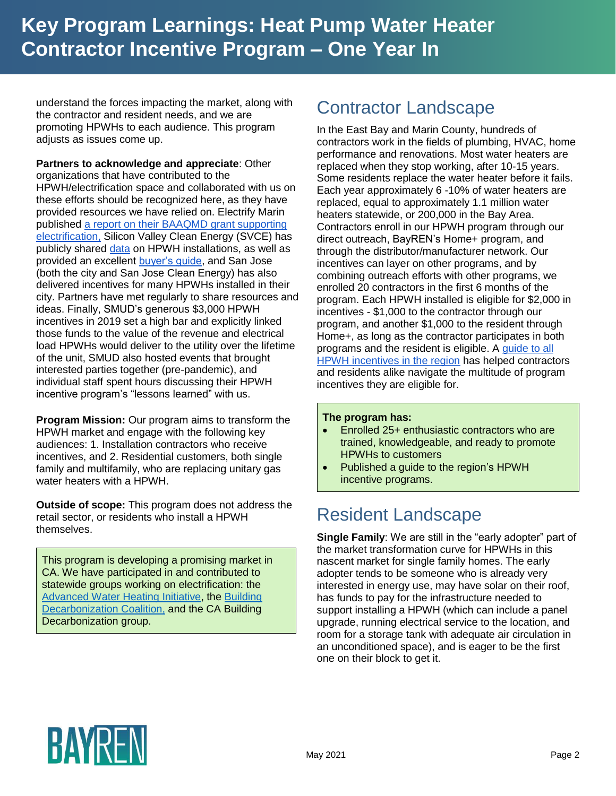understand the forces impacting the market, along with the contractor and resident needs, and we are promoting HPWHs to each audience. This program adjusts as issues come up.

**Partners to acknowledge and appreciate**: Other organizations that have contributed to the HPWH/electrification space and collaborated with us on these efforts should be recognized here, as they have provided resources we have relied on. Electrify Marin published [a report on their BAAQMD grant supporting](https://www.marincounty.org/-/media/files/departments/cd/planning/sustainability/electrify-marin/531-lessons-learned-report.pdf?la=en)  [electrification,](https://www.marincounty.org/-/media/files/departments/cd/planning/sustainability/electrify-marin/531-lessons-learned-report.pdf?la=en) Silicon Valley Clean Energy (SVCE) has publicly shared [data](https://www.svcleanenergy.org/water-heating/) on HPWH installations, as well as provided an excellent [buyer's guide,](https://www.svcleanenergy.org/wp-content/uploads/2020/02/Heat-Pump-Water-Heater-Buyers-Guide-Digital-Updated-2020.pdf) and San Jose (both the city and San Jose Clean Energy) has also delivered incentives for many HPWHs installed in their city. Partners have met regularly to share resources and ideas. Finally, SMUD's generous \$3,000 HPWH incentives in 2019 set a high bar and explicitly linked those funds to the value of the revenue and electrical load HPWHs would deliver to the utility over the lifetime of the unit, SMUD also hosted events that brought interested parties together (pre-pandemic), and individual staff spent hours discussing their HPWH incentive program's "lessons learned" with us.

**Program Mission:** Our program aims to transform the HPWH market and engage with the following key audiences: 1. Installation contractors who receive incentives, and 2. Residential customers, both single family and multifamily, who are replacing unitary gas water heaters with a HPWH.

**Outside of scope:** This program does not address the retail sector, or residents who install a HPWH themselves.

This program is developing a promising market in CA. We have participated in and contributed to statewide groups working on electrification: the [Advanced Water Heating Initiative,](https://newbuildings.org/hubs/building-innovation/advanced-water-heating-initiative/) the [Building](https://www.buildingdecarb.org/)  [Decarbonization Coalition,](https://www.buildingdecarb.org/) and the CA Building Decarbonization group.

### Contractor Landscape

In the East Bay and Marin County, hundreds of contractors work in the fields of plumbing, HVAC, home performance and renovations. Most water heaters are replaced when they stop working, after 10-15 years. Some residents replace the water heater before it fails. Each year approximately 6 -10% of water heaters are replaced, equal to approximately 1.1 million water heaters statewide, or 200,000 in the Bay Area. Contractors enroll in our HPWH program through our direct outreach, BayREN's Home+ program, and through the distributor/manufacturer network. Our incentives can layer on other programs, and by combining outreach efforts with other programs, we enrolled 20 contractors in the first 6 months of the program. Each HPWH installed is eligible for \$2,000 in incentives - \$1,000 to the contractor through our program, and another \$1,000 to the resident through Home+, as long as the contractor participates in both programs and the resident is eligible. A [guide to all](https://www.bayren.org/hpwh-contractor)  [HPWH incentives in the region](https://www.bayren.org/hpwh-contractor) has helped contractors and residents alike navigate the multitude of program incentives they are eligible for.

#### **The program has:**

- Enrolled 25+ enthusiastic contractors who are trained, knowledgeable, and ready to promote HPWHs to customers
- Published a guide to the region's HPWH incentive programs.

## Resident Landscape

**Single Family**: We are still in the "early adopter" part of the market transformation curve for HPWHs in this nascent market for single family homes. The early adopter tends to be someone who is already very interested in energy use, may have solar on their roof, has funds to pay for the infrastructure needed to support installing a HPWH (which can include a panel upgrade, running electrical service to the location, and room for a storage tank with adequate air circulation in an unconditioned space), and is eager to be the first one on their block to get it.

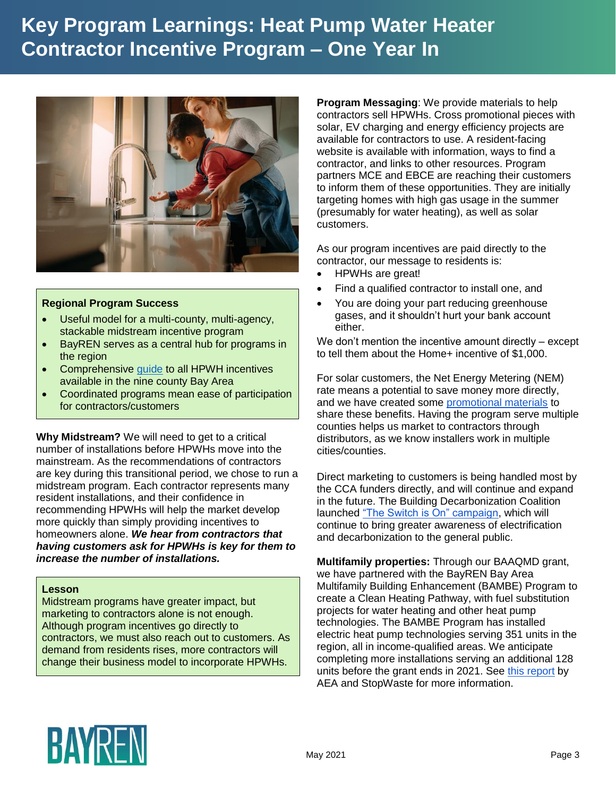

#### **Regional Program Success**

- Useful model for a multi-county, multi-agency, stackable midstream incentive program
- BayREN serves as a central hub for programs in the region
- Comprehensive [guide](https://www.bayren.org/incentives) to all HPWH incentives available in the nine county Bay Area
- Coordinated programs mean ease of participation for contractors/customers

**Why Midstream?** We will need to get to a critical number of installations before HPWHs move into the mainstream. As the recommendations of contractors are key during this transitional period, we chose to run a midstream program. Each contractor represents many resident installations, and their confidence in recommending HPWHs will help the market develop more quickly than simply providing incentives to homeowners alone. *We hear from contractors that having customers ask for HPWHs is key for them to increase the number of installations.*

#### **Lesson**

Midstream programs have greater impact, but marketing to contractors alone is not enough. Although program incentives go directly to contractors, we must also reach out to customers. As demand from residents rises, more contractors will change their business model to incorporate HPWHs.

**Program Messaging**: We provide materials to help contractors sell HPWHs. Cross promotional pieces with [solar,](https://www.bayren.org/resident-solar) [EV charging](https://www.bayren.org/resident-ev) and [energy efficiency](https://www.bayren.org/resident-ee) projects are available for contractors to use. A [resident-facing](https://www.bayren.org/residentialhpwh)  [website](https://www.bayren.org/residentialhpwh) is available with information, ways to find a contractor, and links to other resources. Program partners MCE and EBCE are reaching their customers to inform them of these opportunities. They are initially targeting homes with high gas usage in the summer (presumably for water heating), as well as solar customers.

As our program incentives are paid directly to the contractor, our message to residents is:

- HPWHs are great!
- Find a qualified contractor to install one, and
- You are doing your part reducing greenhouse gases, and it shouldn't hurt your bank account either.

We don't mention the incentive amount directly – except to tell them about the Home+ incentive of \$1,000.

For solar customers, the Net Energy Metering (NEM) rate means a potential to save money more directly, and we have created some [promotional materials](https://www.bayren.org/resident-solar) to share these benefits. Having the program serve multiple counties helps us market to contractors through distributors, as we know installers work in multiple cities/counties.

Direct marketing to customers is being handled most by the CCA funders directly, and will continue and expand in the future. The Building Decarbonization Coalition launched ["The Switch is On" campaign,](https://www.switchison.org/) which will continue to bring greater awareness of electrification and decarbonization to the general public.

**Multifamily properties:** Through our BAAQMD grant, we have partnered with the BayREN Bay Area Multifamily Building Enhancement (BAMBE) Program to create a Clean Heating Pathway, with fuel substitution projects for water heating and other heat pump technologies. The BAMBE Program has installed electric heat pump technologies serving 351 units in the region, all in income-qualified areas. We anticipate completing more installations serving an additional 128 units before the grant ends in 2021. See [this report](https://cbbf458e-67d0-4a11-9597-023b97b18cc4.filesusr.com/ugd/fbb014_5f394d44c3114359b36abf6afa9c460b.pdf) by AEA and StopWaste for more information.

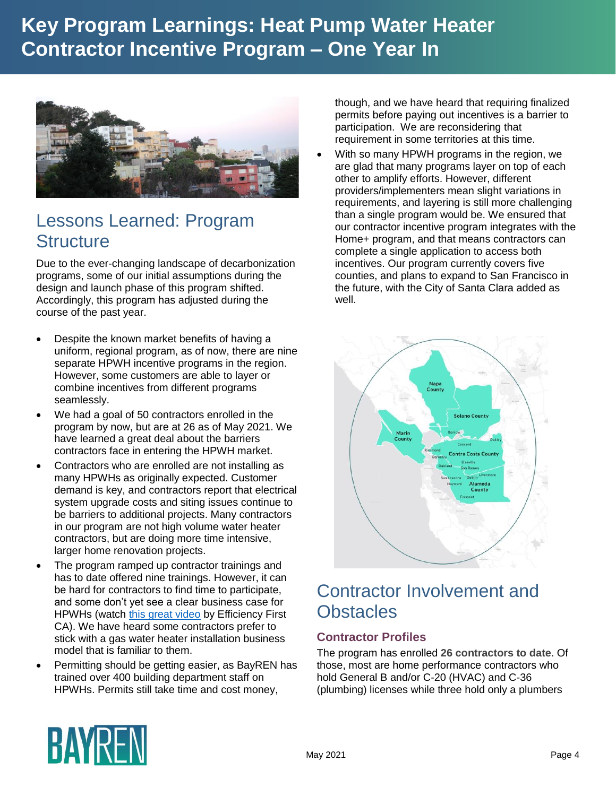

### Lessons Learned: Program **Structure**

Due to the ever-changing landscape of decarbonization programs, some of our initial assumptions during the design and launch phase of this program shifted. Accordingly, this program has adjusted during the course of the past year.

- Despite the known market benefits of having a uniform, regional program, as of now, there are nine separate HPWH incentive programs in the region. However, some customers are able to layer or combine incentives from different programs seamlessly.
- We had a goal of 50 contractors enrolled in the program by now, but are at 26 as of May 2021. We have learned a great deal about the barriers contractors face in entering the HPWH market.
- Contractors who are enrolled are not installing as many HPWHs as originally expected. Customer demand is key, and contractors report that electrical system upgrade costs and siting issues continue to be barriers to additional projects. Many contractors in our program are not high volume water heater contractors, but are doing more time intensive, larger home renovation projects.
- The program ramped up contractor trainings and has to date offered nine trainings. However, it can be hard for contractors to find time to participate, and some don't yet see [a clear business case for](https://www.youtube.com/watch?v=2FkI1ULCq8E)  [HPWHs](https://www.youtube.com/watch?v=2FkI1ULCq8E) (watch [this great video](https://www.youtube.com/watch?v=2FkI1ULCq8E) by Efficiency First CA). We have heard some contractors prefer to stick with a gas water heater installation business model that is familiar to them.
- Permitting should be getting easier, as BayREN has trained over 400 building department staff on HPWHs. Permits still take time and cost money,

though, and we have heard that requiring finalized permits before paying out incentives is a barrier to participation. We are reconsidering that requirement in some territories at this time.

 With so many HPWH programs in the region, we are glad that many programs layer on top of each other to amplify efforts. However, different providers/implementers mean slight variations in requirements, and layering is still more challenging than a single program would be. We ensured that our contractor incentive program integrates with the Home+ program, and that means contractors can complete a single application to access both incentives. Our program currently covers five counties, and plans to expand to San Francisco in the future, with the City of Santa Clara added as well.



## Contractor Involvement and **Obstacles**

#### **Contractor Profiles**

The program has enrolled **26 contractors to date**. Of those, most are home performance contractors who hold General B and/or C-20 (HVAC) and C-36 (plumbing) licenses while three hold only a plumbers

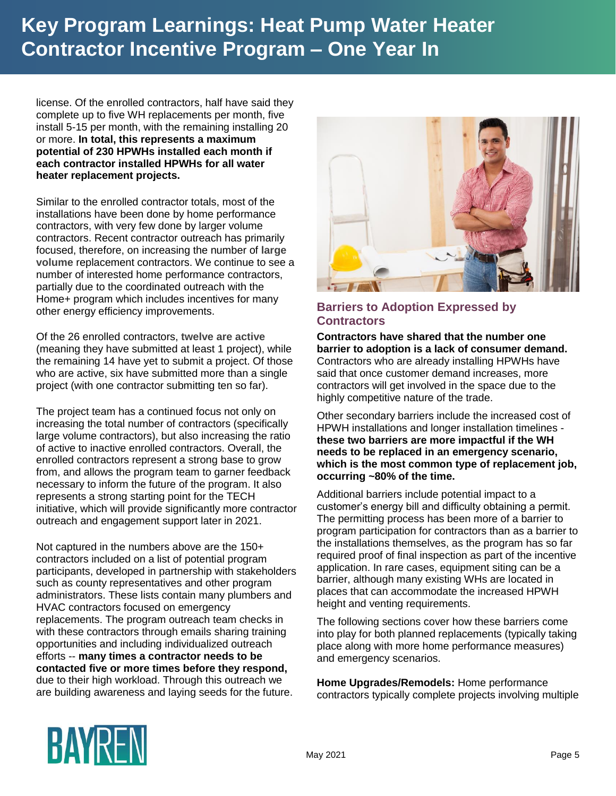license. Of the enrolled contractors, half have said they complete up to five WH replacements per month, five install 5-15 per month, with the remaining installing 20 or more. **In total, this represents a maximum potential of 230 HPWHs installed each month if each contractor installed HPWHs for all water heater replacement projects.**

Similar to the enrolled contractor totals, most of the installations have been done by home performance contractors, with very few done by larger volume contractors. Recent contractor outreach has primarily focused, therefore, on increasing the number of **large volume** replacement contractors. We continue to see a number of interested home performance contractors, partially due to the coordinated outreach with the Home+ program which includes incentives for many other energy efficiency improvements.

Of the 26 enrolled contractors, **twelve are active** (meaning they have submitted at least 1 project), while the remaining 14 have yet to submit a project. Of those who are active, six have submitted more than a single project (with one contractor submitting ten so far).

The project team has a continued focus not only on increasing the total number of contractors (specifically large volume contractors), but also increasing the ratio of active to inactive enrolled contractors. Overall, the enrolled contractors represent a strong base to grow from, and allows the program team to garner feedback necessary to inform the future of the program. It also represents a strong starting point for the TECH initiative, which will provide significantly more contractor outreach and engagement support later in 2021.

Not captured in the numbers above are the 150+ contractors included on a list of potential program participants, developed in partnership with stakeholders such as county representatives and other program administrators. These lists contain many plumbers and HVAC contractors focused on emergency replacements. The program outreach team checks in with these contractors through emails sharing training opportunities and including individualized outreach efforts -- **many times a contractor needs to be contacted five or more times before they respond,** due to their high workload. Through this outreach we are building awareness and laying seeds for the future.



#### **Barriers to Adoption Expressed by Contractors**

**Contractors have shared that the number one barrier to adoption is a lack of consumer demand.**  Contractors who are already installing HPWHs have said that once customer demand increases, more contractors will get involved in the space due to the highly competitive nature of the trade.

Other secondary barriers include the increased cost of HPWH installations and longer installation timelines **these two barriers are more impactful if the WH needs to be replaced in an emergency scenario, which is the most common type of replacement job, occurring ~80% of the time.**

Additional barriers include potential impact to a customer's energy bill and difficulty obtaining a permit. The permitting process has been more of a barrier to program participation for contractors than as a barrier to the installations themselves, as the program has so far required proof of final inspection as part of the incentive application. In rare cases, equipment siting can be a barrier, although many existing WHs are located in places that can accommodate the increased HPWH height and venting requirements.

The following sections cover how these barriers come into play for both planned replacements (typically taking place along with more home performance measures) and emergency scenarios.

**Home Upgrades/Remodels:** Home performance contractors typically complete projects involving multiple

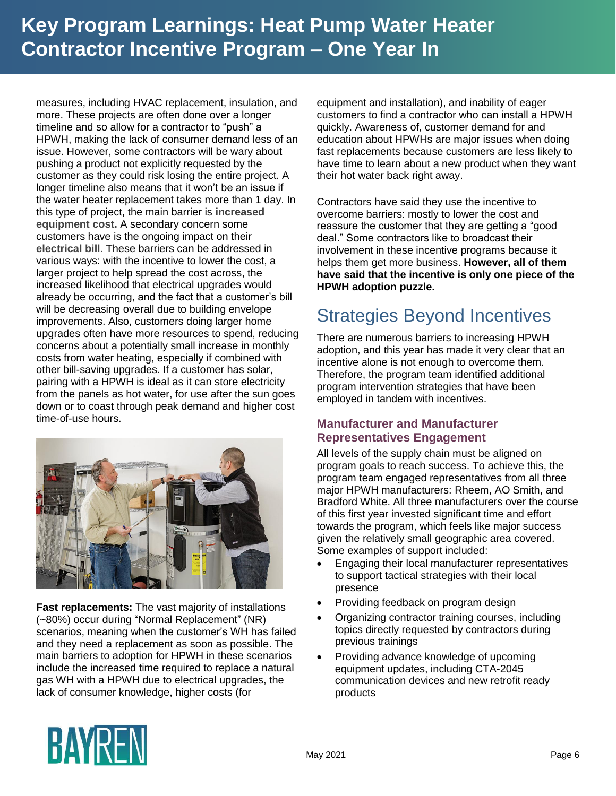measures, including HVAC replacement, insulation, and more. These projects are often done over a longer timeline and so allow for a contractor to "push" a HPWH, making the lack of consumer demand less of an issue. However, some contractors will be wary about pushing a product not explicitly requested by the customer as they could risk losing the entire project. A longer timeline also means that it won't be an issue if the water heater replacement takes more than 1 day. In this type of project, the main barrier is **increased equipment cost.** A secondary concern some customers have is the ongoing impact on their **electrical bill**. These barriers can be addressed in various ways: with the incentive to lower the cost, a larger project to help spread the cost across, the increased likelihood that electrical upgrades would already be occurring, and the fact that a customer's bill will be decreasing overall due to building envelope improvements. Also, customers doing larger home upgrades often have more resources to spend, reducing concerns about a potentially small increase in monthly costs from water heating, especially if combined with other bill-saving upgrades. If a customer has solar, pairing with a HPWH is ideal as it can store electricity from the panels as hot water, for use after the sun goes down or to coast through peak demand and higher cost time-of-use hours.



**Fast replacements:** The vast majority of installations (~80%) occur during "Normal Replacement" (NR) scenarios, meaning when the customer's WH has failed and they need a replacement as soon as possible. The main barriers to adoption for HPWH in these scenarios include the increased time required to replace a natural gas WH with a HPWH due to electrical upgrades, the lack of consumer knowledge, higher costs (for

equipment and installation), and inability of eager customers to find a contractor who can install a HPWH quickly. Awareness of, customer demand for and education about HPWHs are major issues when doing fast replacements because customers are less likely to have time to learn about a new product when they want their hot water back right away.

Contractors have said they use the incentive to overcome barriers: mostly to lower the cost and reassure the customer that they are getting a "good deal." Some contractors like to broadcast their involvement in these incentive programs because it helps them get more business. **However, all of them have said that the incentive is only one piece of the HPWH adoption puzzle.**

## Strategies Beyond Incentives

There are numerous barriers to increasing HPWH adoption, and this year has made it very clear that an incentive alone is not enough to overcome them. Therefore, the program team identified additional program intervention strategies that have been employed in tandem with incentives.

#### **Manufacturer and Manufacturer Representatives Engagement**

All levels of the supply chain must be aligned on program goals to reach success. To achieve this, the program team engaged representatives from all three major HPWH manufacturers: Rheem, AO Smith, and Bradford White. All three manufacturers over the course of this first year invested significant time and effort towards the program, which feels like major success given the relatively small geographic area covered. Some examples of support included:

- Engaging their local manufacturer representatives to support tactical strategies with their local presence
- Providing feedback on program design
- Organizing contractor training courses, including topics directly requested by contractors during previous trainings
- Providing advance knowledge of upcoming equipment updates, including CTA-2045 communication devices and new retrofit ready products

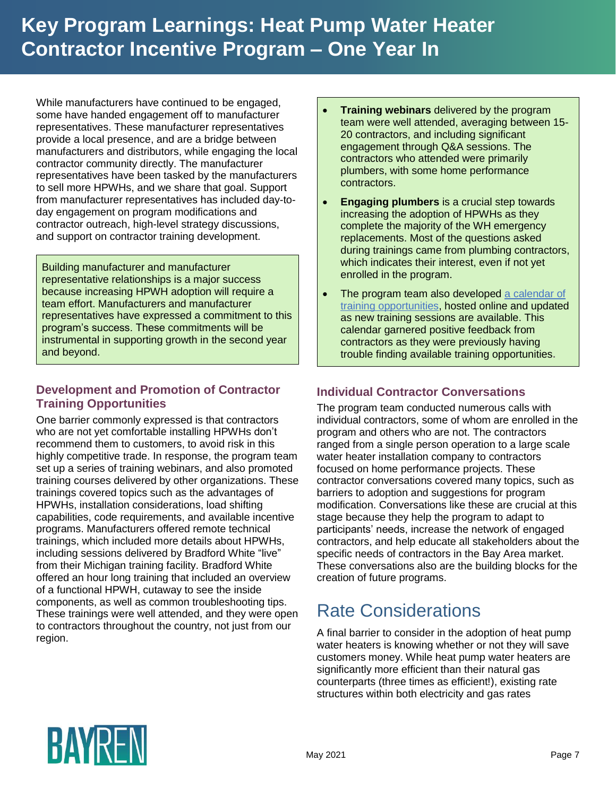While manufacturers have continued to be engaged, some have handed engagement off to manufacturer representatives. These manufacturer representatives provide a local presence, and are a bridge between manufacturers and distributors, while engaging the local contractor community directly. The manufacturer representatives have been tasked by the manufacturers to sell more HPWHs, and we share that goal. Support from manufacturer representatives has included day-today engagement on program modifications and contractor outreach, high-level strategy discussions, and support on contractor training development.

Building manufacturer and manufacturer representative relationships is a major success because increasing HPWH adoption will require a team effort. Manufacturers and manufacturer representatives have expressed a commitment to this program's success. These commitments will be instrumental in supporting growth in the second year and beyond.

#### **Development and Promotion of Contractor Training Opportunities**

One barrier commonly expressed is that contractors who are not yet comfortable installing HPWHs don't recommend them to customers, to avoid risk in this highly competitive trade. In response, the program team set up a series of training webinars, and also promoted training courses delivered by other organizations. These trainings covered topics such as the advantages of HPWHs, installation considerations, load shifting capabilities, code requirements, and available incentive programs. Manufacturers offered remote technical trainings, which included more details about HPWHs, including sessions delivered by Bradford White "live" from their Michigan training facility. Bradford White offered an hour long training that included an overview of a functional HPWH, cutaway to see the inside components, as well as common troubleshooting tips. These trainings were well attended, and they were open to contractors throughout the country, not just from our region.

- **Training webinars** delivered by the program team were well attended, averaging between 15- 20 contractors, and including significant engagement through Q&A sessions. The contractors who attended were primarily plumbers, with some home performance contractors.
- **Engaging plumbers** is a crucial step towards increasing the adoption of HPWHs as they complete the majority of the WH emergency replacements. Most of the questions asked during trainings came from plumbing contractors, which indicates their interest, even if not yet enrolled in the program.
- The program team also developed a calendar of [training opportunities,](https://outlook.office365.com/calendar/published/2aba94fb59584c538456fd3edef06711@energy-solution.com/39f6880401f143fbaa082357c6ac0cf13799788753081432660/calendar.html) hosted online and updated as new training sessions are available. This calendar garnered positive feedback from contractors as they were previously having trouble finding available training opportunities**.**

### **Individual Contractor Conversations**

The program team conducted numerous calls with individual contractors, some of whom are enrolled in the program and others who are not. The contractors ranged from a single person operation to a large scale water heater installation company to contractors focused on home performance projects. These contractor conversations covered many topics, such as barriers to adoption and suggestions for program modification. Conversations like these are crucial at this stage because they help the program to adapt to participants' needs, increase the network of engaged contractors, and help educate all stakeholders about the specific needs of contractors in the Bay Area market. These conversations also are the building blocks for the creation of future programs.

## Rate Considerations

A final barrier to consider in the adoption of heat pump water heaters is knowing whether or not they will save customers money. While heat pump water heaters are significantly more efficient than their natural gas counterparts (three times as efficient!), existing rate structures within both electricity and gas rates

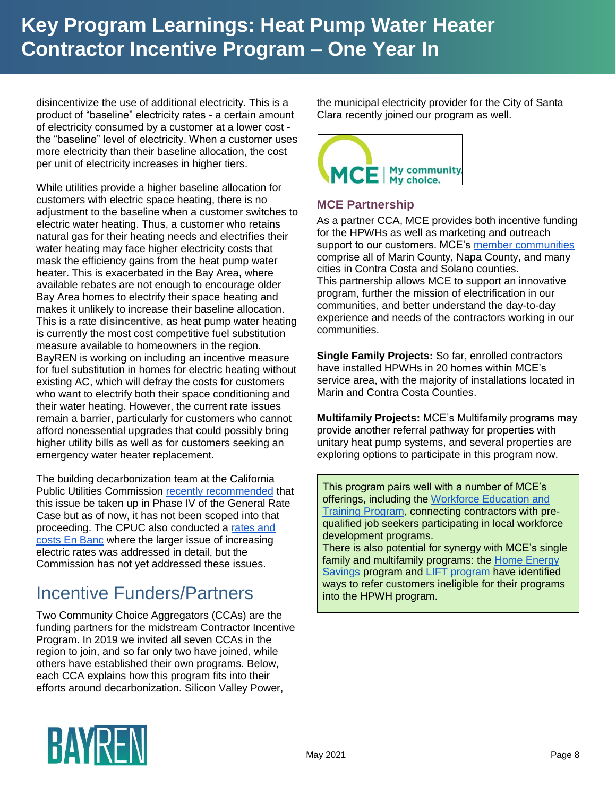disincentivize the use of additional electricity. This is a product of "baseline" electricity rates - a certain amount of electricity consumed by a customer at a lower cost the "baseline" level of electricity. When a customer uses more electricity than their baseline allocation, the cost per unit of electricity increases in higher tiers.

While utilities provide a higher baseline allocation for customers with electric space heating, there is no adjustment to the baseline when a customer switches to electric water heating. Thus, a customer who retains natural gas for their heating needs and electrifies their water heating may face higher electricity costs that mask the efficiency gains from the heat pump water heater. This is exacerbated in the Bay Area, where available rebates are not enough to encourage older Bay Area homes to electrify their space heating and makes it unlikely to increase their baseline allocation. This is a rate **disincentive**, as heat pump water heating is currently the most cost competitive fuel substitution measure available to homeowners in the region. BayREN is working on including an incentive measure for fuel substitution in homes for electric heating without existing AC, which will defray the costs for customers who want to electrify both their space conditioning and their water heating. However, the current rate issues remain a barrier, particularly for customers who cannot afford nonessential upgrades that could possibly bring higher utility bills as well as for customers seeking an emergency water heater replacement.

The building decarbonization team at the California Public Utilities Commission [recently recommended](https://docs.cpuc.ca.gov/PublishedDocs/Efile/G000/M345/K591/345591050.PDF) that this issue be taken up in Phase IV of the General Rate Case but as of now, it has not been scoped into that proceeding. The CPUC also conducted a [rates and](https://www.cpuc.ca.gov/General.aspx?id=6442467418)  [costs En Banc](https://www.cpuc.ca.gov/General.aspx?id=6442467418) where the larger issue of increasing electric rates was addressed in detail, but the Commission has not yet addressed these issues.

## Incentive Funders/Partners

Two Community Choice Aggregators (CCAs) are the funding partners for the midstream Contractor Incentive Program. In 2019 we invited all seven CCAs in the region to join, and so far only two have joined, while others have established their own programs. Below, each CCA explains how this program fits into their efforts around decarbonization. Silicon Valley Power,

the municipal electricity provider for the City of Santa Clara recently joined our program as well.



#### **MCE Partnership**

As a partner CCA, MCE provides both incentive funding for the HPWHs as well as marketing and outreach support to our customers. MCE's [member communities](https://www.mcecleanenergy.org/member-communities/) comprise all of Marin County, Napa County, and many cities in Contra Costa and Solano counties. This partnership allows MCE to support an innovative program, further the mission of electrification in our communities, and better understand the day-to-day experience and needs of the contractors working in our communities.

**Single Family Projects:** So far, enrolled contractors have installed HPWHs in 20 homes within MCE's service area, with the majority of installations located in Marin and Contra Costa Counties.

**Multifamily Projects:** MCE's Multifamily programs may provide another referral pathway for properties with unitary heat pump systems, and several properties are exploring options to participate in this program now.

This program pairs well with a number of MCE's offerings, including the [Workforce Education and](https://www.mcecleanenergy.org/contractors/)  [Training Program,](https://www.mcecleanenergy.org/contractors/) connecting contractors with prequalified job seekers participating in local workforce development programs.

There is also potential for synergy with MCE's single family and multifamily programs: the Home Energy [Savings](https://www.mcecleanenergy.org/home-savings/) program and [LIFT program](https://www.mcecleanenergy.org/multifamily-savings/) have identified ways to refer customers ineligible for their programs into the HPWH program.

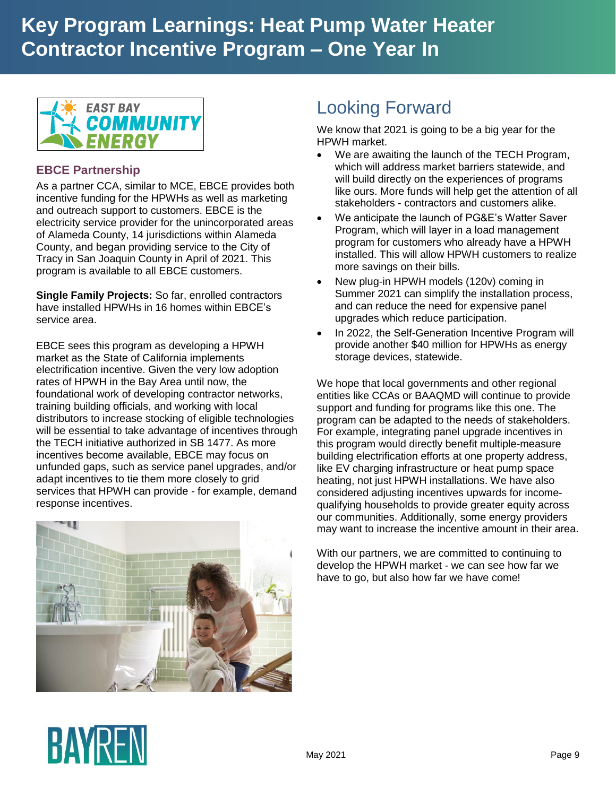

### **EBCE Partnership**

As a partner CCA, similar to MCE, EBCE provides both incentive funding for the HPWHs as well as marketing and outreach support to customers. EBCE is the electricity service provider for the unincorporated areas of Alameda County, 14 jurisdictions within Alameda County, and began providing service to the City of Tracy in San Joaquin County in April of 2021. This program is available to all EBCE customers.

**Single Family Projects:** So far, enrolled contractors have installed HPWHs in 16 homes within EBCE's service area.

EBCE sees this program as developing a HPWH market as the State of California implements electrification incentive. Given the very low adoption rates of HPWH in the Bay Area until now, the foundational work of developing contractor networks, training building officials, and working with local distributors to increase stocking of eligible technologies will be essential to take advantage of incentives through the TECH initiative authorized in SB 1477. As more incentives become available, EBCE may focus on unfunded gaps, such as service panel upgrades, and/or adapt incentives to tie them more closely to grid services that HPWH can provide - for example, demand response incentives.



### Looking Forward

We know that 2021 is going to be a big year for the HPWH market.

- We are awaiting the launch of the TECH Program, which will address market barriers statewide, and will build directly on the experiences of programs like ours. More funds will help get the attention of all stakeholders - contractors and customers alike.
- We anticipate the launch of PG&E's Watter Saver Program, which will layer in a load management program for customers who already have a HPWH installed. This will allow HPWH customers to realize more savings on their bills.
- New plug-in HPWH models (120v) coming in Summer 2021 can simplify the installation process, and can reduce the need for expensive panel upgrades which reduce participation.
- In 2022, the Self-Generation Incentive Program will provide another \$40 million for HPWHs as energy storage devices, statewide.

We hope that local governments and other regional entities like CCAs or BAAQMD will continue to provide support and funding for programs like this one. The program can be adapted to the needs of stakeholders. For example, integrating panel upgrade incentives in this program would directly benefit multiple-measure building electrification efforts at one property address, like EV charging infrastructure or heat pump space heating, not just HPWH installations. We have also considered adjusting incentives upwards for incomequalifying households to provide greater equity across our communities. Additionally, some energy providers may want to increase the incentive amount in their area.

With our partners, we are committed to continuing to develop the HPWH market - we can see how far we have to go, but also how far we have come!